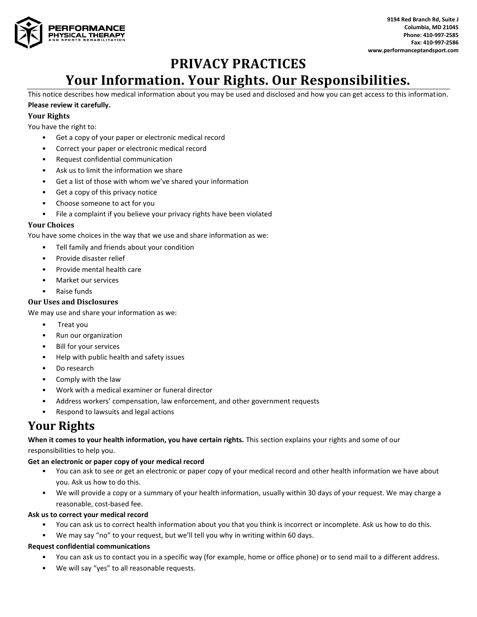

# **PRIVACY PRACTICES**

# **Your Information. Your Rights. Our Responsibilities.**

This notice describes how medical information about you may be used and disclosed and how you can get access to this information. **Please review it carefully.**

#### **Your Rights**

You have the right to:

- Get a copy of your paper or electronic medical record
- Correct your paper or electronic medical record
- Request confidential communication
- Ask us to limit the information we share
- Get a list of those with whom we've shared your information
- Get a copy of this privacy notice
- Choose someone to act for you
- File a complaint if you believe your privacy rights have been violated

#### **Your Choices**

You have some choices in the way that we use and share information as we:

- Tell family and friends about your condition
- Provide disaster relief
- Provide mental health care
- Market our services
- Raise funds

#### **Our Uses and Disclosures**

We may use and share your information as we:

- Treat you
- Run our organization
- Bill for your services
- Help with public health and safety issues
- Do research
- Comply with the law
- Work with a medical examiner or funeral director
- Address workers' compensation, law enforcement, and other government requests
- Respond to lawsuits and legal actions

## **Your Rights**

**When it comes to your health information, you have certain rights.** This section explains your rights and some of our responsibilities to help you.

#### **Get an electronic or paper copy of your medical record**

- You can ask to see or get an electronic or paper copy of your medical record and other health information we have about you. Ask us how to do this.
- We will provide a copy or a summary of your health information, usually within 30 days of your request. We may charge a reasonable, cost-based fee.

#### **Ask us to correct your medical record**

- You can ask us to correct health information about you that you think is incorrect or incomplete. Ask us how to do this.
- We may say "no" to your request, but we'll tell you why in writing within 60 days.

#### **Request confidential communications**

- You can ask us to contact you in a specific way (for example, home or office phone) or to send mail to a different address.
- We will say "yes" to all reasonable requests.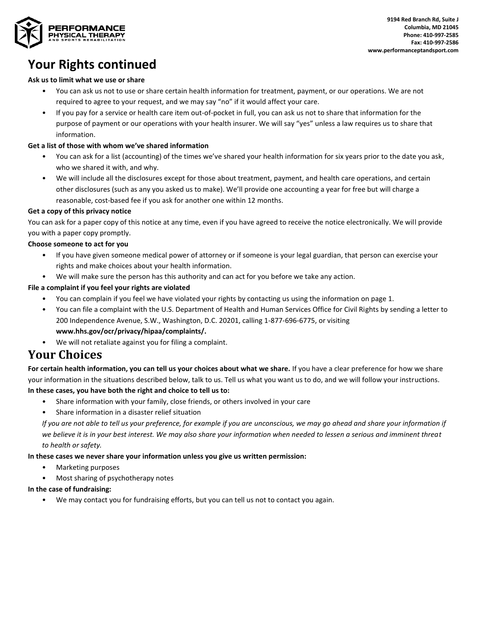

# **Your Rights continued**

#### **Ask us to limit what we use or share**

- You can ask us not to use or share certain health information for treatment, payment, or our operations. We are not required to agree to your request, and we may say "no" if it would affect your care.
- If you pay for a service or health care item out-of-pocket in full, you can ask us not to share that information for the purpose of payment or our operations with your health insurer. We will say "yes" unless a law requires us to share that information.

#### **Get a list of those with whom we've shared information**

- You can ask for a list (accounting) of the times we've shared your health information for six years prior to the date you ask, who we shared it with, and why.
- We will include all the disclosures except for those about treatment, payment, and health care operations, and certain other disclosures (such as any you asked us to make). We'll provide one accounting a year for free but will charge a reasonable, cost-based fee if you ask for another one within 12 months.

#### **Get a copy of this privacy notice**

You can ask for a paper copy of this notice at any time, even if you have agreed to receive the notice electronically. We will provide you with a paper copy promptly.

#### **Choose someone to act for you**

- If you have given someone medical power of attorney or if someone is your legal guardian, that person can exercise your rights and make choices about your health information.
- We will make sure the person has this authority and can act for you before we take any action.

#### **File a complaint if you feel your rights are violated**

- You can complain if you feel we have violated your rights by contacting us using the information on page 1.
- You can file a complaint with the U.S. Department of Health and Human Services Office for Civil Rights by sending a letter to 200 Independence Avenue, S.W., Washington, D.C. 20201, calling 1-877-696-6775, or visiting **www.hhs.gov/ocr/privacy/hipaa/complaints/.**
- We will not retaliate against you for filing a complaint.

## **Your Choices**

**For certain health information, you can tell us your choices about what we share.** If you have a clear preference for how we share your information in the situations described below, talk to us. Tell us what you want us to do, and we will follow your instructions. **In these cases, you have both the right and choice to tell us to:**

- Share information with your family, close friends, or others involved in your care
- Share information in a disaster relief situation

*If you are not able to tell us your preference, for example if you are unconscious, we may go ahead and share your information if we believe it is in your best interest. We may also share your information when needed to lessen a serious and imminent threat to health or safety.*

#### **In these cases we never share your information unless you give us written permission:**

- Marketing purposes
- Most sharing of psychotherapy notes

#### **In the case of fundraising:**

• We may contact you for fundraising efforts, but you can tell us not to contact you again.